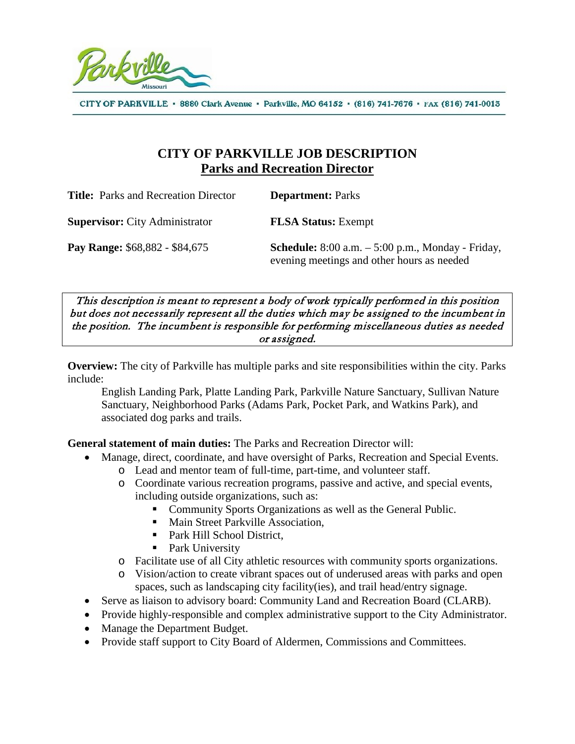

CITY OF PARKVILLE · 8880 Clark Avenue · Parkville, MO 64152 · (816) 741-7676 · FAX (816) 741-0013

# **CITY OF PARKVILLE JOB DESCRIPTION Parks and Recreation Director**

| <b>Title:</b> Parks and Recreation Director | <b>Department: Parks</b>                                                                                 |
|---------------------------------------------|----------------------------------------------------------------------------------------------------------|
| <b>Supervisor:</b> City Administrator       | <b>FLSA Status:</b> Exempt                                                                               |
| Pay Range: \$68,882 - \$84,675              | <b>Schedule:</b> 8:00 a.m. $-$ 5:00 p.m., Monday - Friday,<br>evening meetings and other hours as needed |

This description is meant to represent a body of work typically performed in this position but does not necessarily represent all the duties which may be assigned to the incumbent in the position. The incumbent is responsible for performing miscellaneous duties as needed or assigned.

**Overview:** The city of Parkville has multiple parks and site responsibilities within the city. Parks include:

English Landing Park, Platte Landing Park, Parkville Nature Sanctuary, Sullivan Nature Sanctuary, Neighborhood Parks (Adams Park, Pocket Park, and Watkins Park), and associated dog parks and trails.

**General statement of main duties:** The Parks and Recreation Director will:

- Manage, direct, coordinate, and have oversight of Parks, Recreation and Special Events.
	- o Lead and mentor team of full-time, part-time, and volunteer staff.
	- o Coordinate various recreation programs, passive and active, and special events, including outside organizations, such as:
		- **Community Sports Organizations as well as the General Public.**
		- Main Street Parkville Association,
		- Park Hill School District.
		- Park University
	- o Facilitate use of all City athletic resources with community sports organizations.
	- o Vision/action to create vibrant spaces out of underused areas with parks and open spaces, such as landscaping city facility(ies), and trail head/entry signage.
- Serve as liaison to advisory board: Community Land and Recreation Board (CLARB).
- Provide highly-responsible and complex administrative support to the City Administrator.
- Manage the Department Budget.
- Provide staff support to City Board of Aldermen, Commissions and Committees.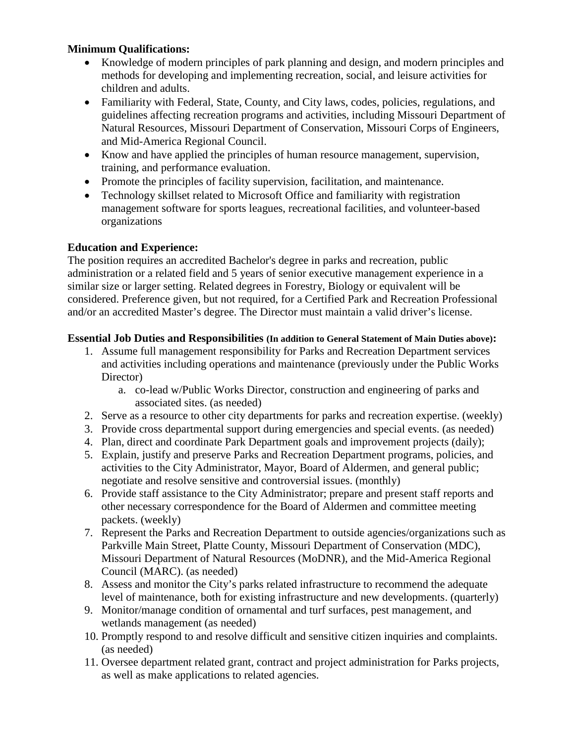### **Minimum Qualifications:**

- Knowledge of modern principles of park planning and design, and modern principles and methods for developing and implementing recreation, social, and leisure activities for children and adults.
- Familiarity with Federal, State, County, and City laws, codes, policies, regulations, and guidelines affecting recreation programs and activities, including Missouri Department of Natural Resources, Missouri Department of Conservation, Missouri Corps of Engineers, and Mid-America Regional Council.
- Know and have applied the principles of human resource management, supervision, training, and performance evaluation.
- Promote the principles of facility supervision, facilitation, and maintenance.
- Technology skillset related to Microsoft Office and familiarity with registration management software for sports leagues, recreational facilities, and volunteer-based organizations

### **Education and Experience:**

The position requires an accredited Bachelor's degree in parks and recreation, public administration or a related field and 5 years of senior executive management experience in a similar size or larger setting. Related degrees in Forestry, Biology or equivalent will be considered. Preference given, but not required, for a Certified Park and Recreation Professional and/or an accredited Master's degree. The Director must maintain a valid driver's license.

### **Essential Job Duties and Responsibilities (In addition to General Statement of Main Duties above):**

- 1. Assume full management responsibility for Parks and Recreation Department services and activities including operations and maintenance (previously under the Public Works Director)
	- a. co-lead w/Public Works Director, construction and engineering of parks and associated sites. (as needed)
- 2. Serve as a resource to other city departments for parks and recreation expertise. (weekly)
- 3. Provide cross departmental support during emergencies and special events. (as needed)
- 4. Plan, direct and coordinate Park Department goals and improvement projects (daily);
- 5. Explain, justify and preserve Parks and Recreation Department programs, policies, and activities to the City Administrator, Mayor, Board of Aldermen, and general public; negotiate and resolve sensitive and controversial issues. (monthly)
- 6. Provide staff assistance to the City Administrator; prepare and present staff reports and other necessary correspondence for the Board of Aldermen and committee meeting packets. (weekly)
- 7. Represent the Parks and Recreation Department to outside agencies/organizations such as Parkville Main Street, Platte County, Missouri Department of Conservation (MDC), Missouri Department of Natural Resources (MoDNR), and the Mid-America Regional Council (MARC). (as needed)
- 8. Assess and monitor the City's parks related infrastructure to recommend the adequate level of maintenance, both for existing infrastructure and new developments. (quarterly)
- 9. Monitor/manage condition of ornamental and turf surfaces, pest management, and wetlands management (as needed)
- 10. Promptly respond to and resolve difficult and sensitive citizen inquiries and complaints. (as needed)
- 11. Oversee department related grant, contract and project administration for Parks projects, as well as make applications to related agencies.